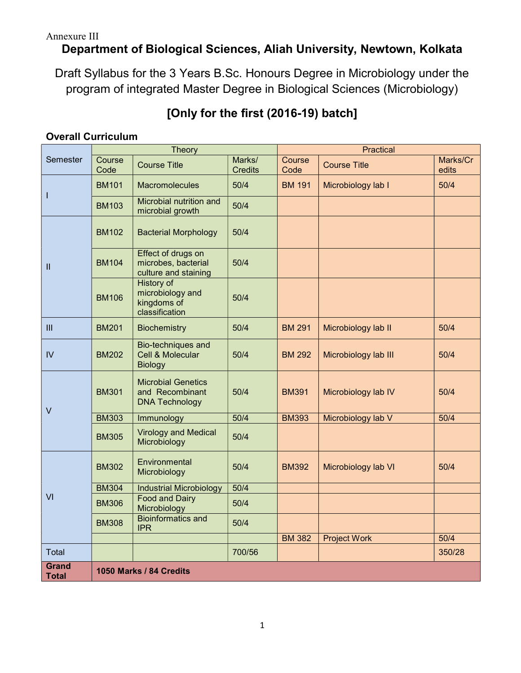# Department of Biological Sciences, Aliah University, Newtown, Kolkata

Draft Syllabus for the 3 Years B.Sc. Honours Degree in Microbiology under the program of integrated Master Degree in Biological Sciences (Microbiology)

# [Only for the first (2016-19) batch]

# Overall Curriculum

| Semester                     | <b>Theory</b>           |                                                                        |                          | <b>Practical</b> |                      |                   |
|------------------------------|-------------------------|------------------------------------------------------------------------|--------------------------|------------------|----------------------|-------------------|
|                              | Course<br>Code          | <b>Course Title</b>                                                    | Marks/<br><b>Credits</b> | Course<br>Code   | <b>Course Title</b>  | Marks/Cr<br>edits |
|                              | <b>BM101</b>            | Macromolecules                                                         | 50/4                     | <b>BM 191</b>    | Microbiology lab I   | 50/4              |
|                              | <b>BM103</b>            | Microbial nutrition and<br>microbial growth                            | 50/4                     |                  |                      |                   |
| $\mathbf{I}$                 | <b>BM102</b>            | <b>Bacterial Morphology</b>                                            | 50/4                     |                  |                      |                   |
|                              | <b>BM104</b>            | Effect of drugs on<br>microbes, bacterial<br>culture and staining      | 50/4                     |                  |                      |                   |
|                              | <b>BM106</b>            | <b>History of</b><br>microbiology and<br>kingdoms of<br>classification | 50/4                     |                  |                      |                   |
| III                          | <b>BM201</b>            | <b>Biochemistry</b>                                                    | 50/4                     | <b>BM 291</b>    | Microbiology lab II  | 50/4              |
| $\mathsf{IV}$                | <b>BM202</b>            | Bio-techniques and<br><b>Cell &amp; Molecular</b><br><b>Biology</b>    | 50/4                     | <b>BM 292</b>    | Microbiology lab III | 50/4              |
| $\vee$                       | <b>BM301</b>            | <b>Microbial Genetics</b><br>and Recombinant<br><b>DNA Technology</b>  | 50/4                     | <b>BM391</b>     | Microbiology lab IV  | 50/4              |
|                              | <b>BM303</b>            | Immunology                                                             | 50/4                     | <b>BM393</b>     | Microbiology lab V   | 50/4              |
|                              | <b>BM305</b>            | <b>Virology and Medical</b><br>Microbiology                            | 50/4                     |                  |                      |                   |
| VI                           | <b>BM302</b>            | Environmental<br>Microbiology                                          | 50/4                     | <b>BM392</b>     | Microbiology lab VI  | 50/4              |
|                              | <b>BM304</b>            | <b>Industrial Microbiology</b>                                         | 50/4                     |                  |                      |                   |
|                              | <b>BM306</b>            | <b>Food and Dairy</b><br>Microbiology                                  | 50/4                     |                  |                      |                   |
|                              | <b>BM308</b>            | <b>Bioinformatics and</b><br><b>IPR</b>                                | 50/4                     |                  |                      |                   |
|                              |                         |                                                                        |                          | <b>BM 382</b>    | <b>Project Work</b>  | 50/4              |
| Total                        |                         |                                                                        | 700/56                   |                  |                      | 350/28            |
| <b>Grand</b><br><b>Total</b> | 1050 Marks / 84 Credits |                                                                        |                          |                  |                      |                   |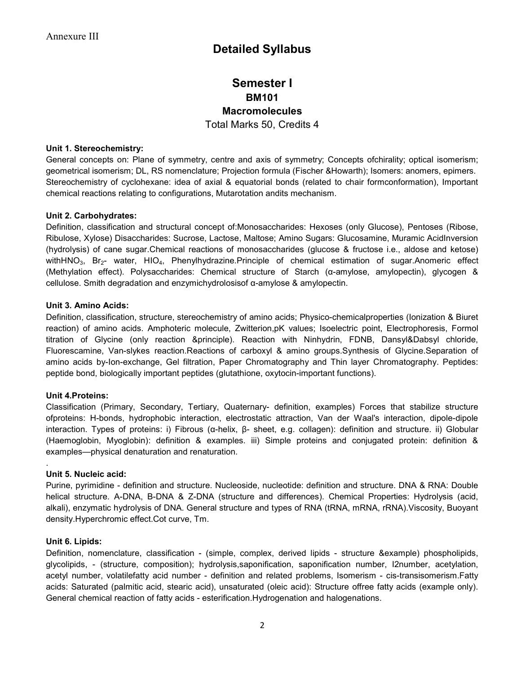# Detailed Syllabus

# Semester I BM101 **Macromolecules** Total Marks 50, Credits 4

#### Unit 1. Stereochemistry:

General concepts on: Plane of symmetry, centre and axis of symmetry; Concepts ofchirality; optical isomerism; geometrical isomerism; DL, RS nomenclature; Projection formula (Fischer &Howarth); Isomers: anomers, epimers. Stereochemistry of cyclohexane: idea of axial & equatorial bonds (related to chair formconformation), Important chemical reactions relating to configurations, Mutarotation andits mechanism.

#### Unit 2. Carbohydrates:

Definition, classification and structural concept of:Monosaccharides: Hexoses (only Glucose), Pentoses (Ribose, Ribulose, Xylose) Disaccharides: Sucrose, Lactose, Maltose; Amino Sugars: Glucosamine, Muramic AcidInversion (hydrolysis) of cane sugar.Chemical reactions of monosaccharides (glucose & fructose i.e., aldose and ketose) withHNO<sub>3</sub>, Br<sub>2</sub>- water, HIO<sub>4</sub>, Phenylhydrazine.Principle of chemical estimation of sugar.Anomeric effect (Methylation effect). Polysaccharides: Chemical structure of Starch (α-amylose, amylopectin), glycogen & cellulose. Smith degradation and enzymichydrolosisof α-amylose & amylopectin.

#### Unit 3. Amino Acids:

Definition, classification, structure, stereochemistry of amino acids; Physico-chemicalproperties (Ionization & Biuret reaction) of amino acids. Amphoteric molecule, Zwitterion,pK values; Isoelectric point, Electrophoresis, Formol titration of Glycine (only reaction &principle). Reaction with Ninhydrin, FDNB, Dansyl&Dabsyl chloride, Fluorescamine, Van-slykes reaction.Reactions of carboxyl & amino groups.Synthesis of Glycine.Separation of amino acids by-Ion-exchange, Gel filtration, Paper Chromatography and Thin layer Chromatography. Peptides: peptide bond, biologically important peptides (glutathione, oxytocin-important functions).

#### Unit 4.Proteins:

Classification (Primary, Secondary, Tertiary, Quaternary- definition, examples) Forces that stabilize structure ofproteins: H-bonds, hydrophobic interaction, electrostatic attraction, Van der Waal's interaction, dipole-dipole interaction. Types of proteins: i) Fibrous (α-helix, β- sheet, e.g. collagen): definition and structure. ii) Globular (Haemoglobin, Myoglobin): definition & examples. iii) Simple proteins and conjugated protein: definition & examples—physical denaturation and renaturation.

#### Unit 5. Nucleic acid:

.

Purine, pyrimidine - definition and structure. Nucleoside, nucleotide: definition and structure. DNA & RNA: Double helical structure. A-DNA, B-DNA & Z-DNA (structure and differences). Chemical Properties: Hydrolysis (acid, alkali), enzymatic hydrolysis of DNA. General structure and types of RNA (tRNA, mRNA, rRNA).Viscosity, Buoyant density.Hyperchromic effect.Cot curve, Tm.

#### Unit 6. Lipids:

Definition, nomenclature, classification - (simple, complex, derived lipids - structure &example) phospholipids, glycolipids, - (structure, composition); hydrolysis,saponification, saponification number, I2number, acetylation, acetyl number, volatilefatty acid number - definition and related problems, Isomerism - cis-transisomerism.Fatty acids: Saturated (palmitic acid, stearic acid), unsaturated (oleic acid): Structure offree fatty acids (example only). General chemical reaction of fatty acids - esterification.Hydrogenation and halogenations.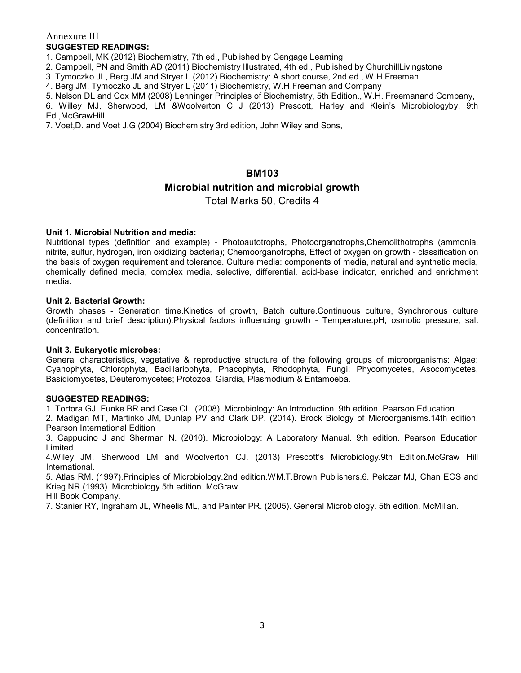# Annexure III SUGGESTED READINGS:

1. Campbell, MK (2012) Biochemistry, 7th ed., Published by Cengage Learning

2. Campbell, PN and Smith AD (2011) Biochemistry Illustrated, 4th ed., Published by ChurchillLivingstone

3. Tymoczko JL, Berg JM and Stryer L (2012) Biochemistry: A short course, 2nd ed., W.H.Freeman

4. Berg JM, Tymoczko JL and Stryer L (2011) Biochemistry, W.H.Freeman and Company

5. Nelson DL and Cox MM (2008) Lehninger Principles of Biochemistry, 5th Edition., W.H. Freemanand Company, 6. Willey MJ, Sherwood, LM &Woolverton C J (2013) Prescott, Harley and Klein's Microbiologyby. 9th Ed.,McGrawHill

7. Voet,D. and Voet J.G (2004) Biochemistry 3rd edition, John Wiley and Sons,

## BM103

# Microbial nutrition and microbial growth

Total Marks 50, Credits 4

## Unit 1. Microbial Nutrition and media:

Nutritional types (definition and example) - Photoautotrophs, Photoorganotrophs,Chemolithotrophs (ammonia, nitrite, sulfur, hydrogen, iron oxidizing bacteria); Chemoorganotrophs, Effect of oxygen on growth - classification on the basis of oxygen requirement and tolerance. Culture media: components of media, natural and synthetic media, chemically defined media, complex media, selective, differential, acid-base indicator, enriched and enrichment media.

## Unit 2. Bacterial Growth:

Growth phases - Generation time.Kinetics of growth, Batch culture.Continuous culture, Synchronous culture (definition and brief description).Physical factors influencing growth - Temperature.pH, osmotic pressure, salt concentration.

#### Unit 3. Eukaryotic microbes:

General characteristics, vegetative & reproductive structure of the following groups of microorganisms: Algae: Cyanophyta, Chlorophyta, Bacillariophyta, Phacophyta, Rhodophyta, Fungi: Phycomycetes, Asocomycetes, Basidiomycetes, Deuteromycetes; Protozoa: Giardia, Plasmodium & Entamoeba.

#### SUGGESTED READINGS:

1. Tortora GJ, Funke BR and Case CL. (2008). Microbiology: An Introduction. 9th edition. Pearson Education

2. Madigan MT, Martinko JM, Dunlap PV and Clark DP. (2014). Brock Biology of Microorganisms.14th edition. Pearson International Edition

3. Cappucino J and Sherman N. (2010). Microbiology: A Laboratory Manual. 9th edition. Pearson Education Limited

4.Wiley JM, Sherwood LM and Woolverton CJ. (2013) Prescott's Microbiology.9th Edition.McGraw Hill International.

5. Atlas RM. (1997).Principles of Microbiology.2nd edition.WM.T.Brown Publishers.6. Pelczar MJ, Chan ECS and Krieg NR.(1993). Microbiology.5th edition. McGraw

Hill Book Company.

7. Stanier RY, Ingraham JL, Wheelis ML, and Painter PR. (2005). General Microbiology. 5th edition. McMillan.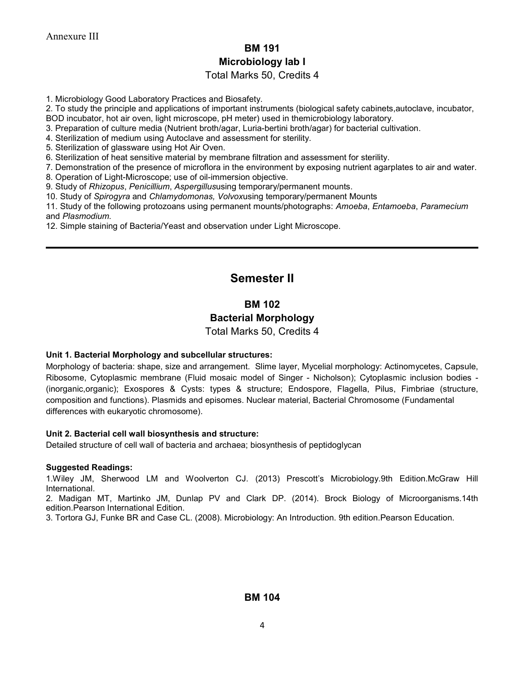# BM 191 Microbiology lab I

# Total Marks 50, Credits 4

1. Microbiology Good Laboratory Practices and Biosafety.

2. To study the principle and applications of important instruments (biological safety cabinets,autoclave, incubator,

BOD incubator, hot air oven, light microscope, pH meter) used in themicrobiology laboratory.

3. Preparation of culture media (Nutrient broth/agar, Luria-bertini broth/agar) for bacterial cultivation.

4. Sterilization of medium using Autoclave and assessment for sterility.

5. Sterilization of glassware using Hot Air Oven.

6. Sterilization of heat sensitive material by membrane filtration and assessment for sterility.

7. Demonstration of the presence of microflora in the environment by exposing nutrient agarplates to air and water.

8. Operation of Light-Microscope; use of oil-immersion objective.

9. Study of Rhizopus, Penicillium, Aspergillususing temporary/permanent mounts.

10. Study of Spirogyra and Chlamydomonas, Volvoxusing temporary/permanent Mounts

11. Study of the following protozoans using permanent mounts/photographs: Amoeba, Entamoeba, Paramecium and Plasmodium.

12. Simple staining of Bacteria/Yeast and observation under Light Microscope.

# Semester II

# BM 102

# Bacterial Morphology

Total Marks 50, Credits 4

## Unit 1. Bacterial Morphology and subcellular structures:

Morphology of bacteria: shape, size and arrangement. Slime layer, Mycelial morphology: Actinomycetes, Capsule, Ribosome, Cytoplasmic membrane (Fluid mosaic model of Singer - Nicholson); Cytoplasmic inclusion bodies - (inorganic,organic); Exospores & Cysts: types & structure; Endospore, Flagella, Pilus, Fimbriae (structure, composition and functions). Plasmids and episomes. Nuclear material, Bacterial Chromosome (Fundamental differences with eukaryotic chromosome).

#### Unit 2. Bacterial cell wall biosynthesis and structure:

Detailed structure of cell wall of bacteria and archaea; biosynthesis of peptidoglycan

#### Suggested Readings:

1.Wiley JM, Sherwood LM and Woolverton CJ. (2013) Prescott's Microbiology.9th Edition.McGraw Hill International.

2. Madigan MT, Martinko JM, Dunlap PV and Clark DP. (2014). Brock Biology of Microorganisms.14th edition.Pearson International Edition.

3. Tortora GJ, Funke BR and Case CL. (2008). Microbiology: An Introduction. 9th edition.Pearson Education.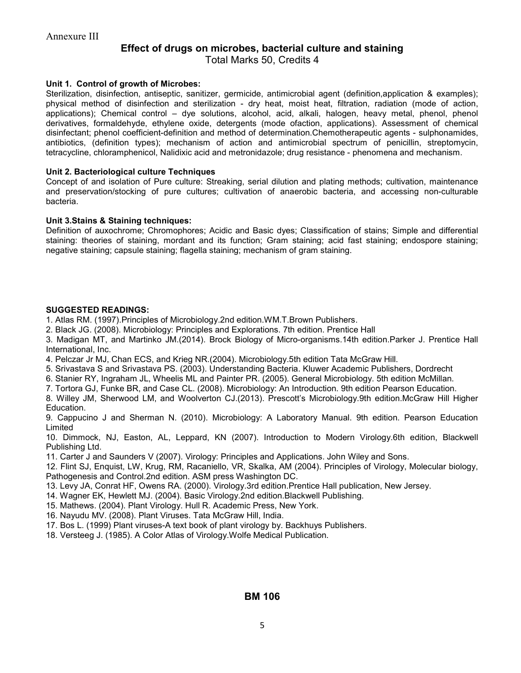# Effect of drugs on microbes, bacterial culture and staining

Total Marks 50, Credits 4

## Unit 1. Control of growth of Microbes:

Sterilization, disinfection, antiseptic, sanitizer, germicide, antimicrobial agent (definition,application & examples); physical method of disinfection and sterilization - dry heat, moist heat, filtration, radiation (mode of action, applications); Chemical control – dye solutions, alcohol, acid, alkali, halogen, heavy metal, phenol, phenol derivatives, formaldehyde, ethylene oxide, detergents (mode ofaction, applications). Assessment of chemical disinfectant; phenol coefficient-definition and method of determination.Chemotherapeutic agents - sulphonamides, antibiotics, (definition types); mechanism of action and antimicrobial spectrum of penicillin, streptomycin, tetracycline, chloramphenicol, Nalidixic acid and metronidazole; drug resistance - phenomena and mechanism.

#### Unit 2. Bacteriological culture Techniques

Concept of and isolation of Pure culture: Streaking, serial dilution and plating methods; cultivation, maintenance and preservation/stocking of pure cultures; cultivation of anaerobic bacteria, and accessing non-culturable bacteria.

## Unit 3.Stains & Staining techniques:

Definition of auxochrome; Chromophores; Acidic and Basic dyes; Classification of stains; Simple and differential staining: theories of staining, mordant and its function; Gram staining; acid fast staining; endospore staining; negative staining; capsule staining; flagella staining; mechanism of gram staining.

## SUGGESTED READINGS:

- 1. Atlas RM. (1997).Principles of Microbiology.2nd edition.WM.T.Brown Publishers.
- 2. Black JG. (2008). Microbiology: Principles and Explorations. 7th edition. Prentice Hall

3. Madigan MT, and Martinko JM.(2014). Brock Biology of Micro-organisms.14th edition.Parker J. Prentice Hall International, Inc.

- 4. Pelczar Jr MJ, Chan ECS, and Krieg NR.(2004). Microbiology.5th edition Tata McGraw Hill.
- 5. Srivastava S and Srivastava PS. (2003). Understanding Bacteria. Kluwer Academic Publishers, Dordrecht
- 6. Stanier RY, Ingraham JL, Wheelis ML and Painter PR. (2005). General Microbiology. 5th edition McMillan.
- 7. Tortora GJ, Funke BR, and Case CL. (2008). Microbiology: An Introduction. 9th edition Pearson Education.
- 8. Willey JM, Sherwood LM, and Woolverton CJ.(2013). Prescott's Microbiology.9th edition.McGraw Hill Higher Education.

9. Cappucino J and Sherman N. (2010). Microbiology: A Laboratory Manual. 9th edition. Pearson Education Limited

10. Dimmock, NJ, Easton, AL, Leppard, KN (2007). Introduction to Modern Virology.6th edition, Blackwell Publishing Ltd.

11. Carter J and Saunders V (2007). Virology: Principles and Applications. John Wiley and Sons.

12. Flint SJ, Enquist, LW, Krug, RM, Racaniello, VR, Skalka, AM (2004). Principles of Virology, Molecular biology, Pathogenesis and Control.2nd edition. ASM press Washington DC.

- 13. Levy JA, Conrat HF, Owens RA. (2000). Virology.3rd edition.Prentice Hall publication, New Jersey.
- 14. Wagner EK, Hewlett MJ. (2004). Basic Virology.2nd edition.Blackwell Publishing.

15. Mathews. (2004). Plant Virology. Hull R. Academic Press, New York.

- 16. Nayudu MV. (2008). Plant Viruses. Tata McGraw Hill, India.
- 17. Bos L. (1999) Plant viruses-A text book of plant virology by. Backhuys Publishers.

18. Versteeg J. (1985). A Color Atlas of Virology.Wolfe Medical Publication.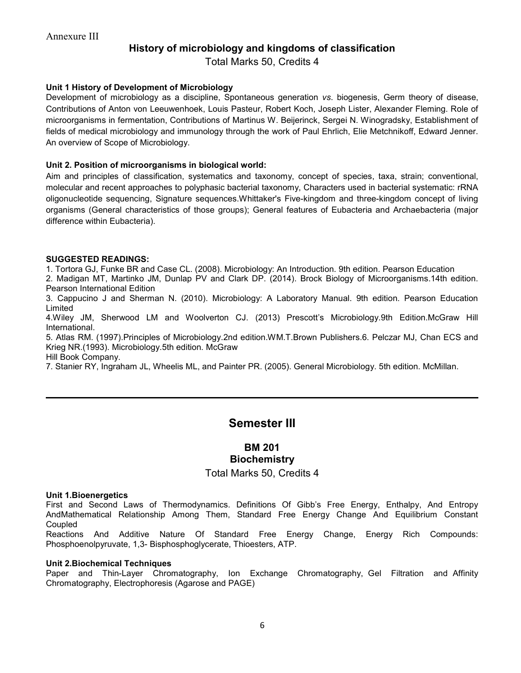# History of microbiology and kingdoms of classification

Total Marks 50, Credits 4

## Unit 1 History of Development of Microbiology

Development of microbiology as a discipline, Spontaneous generation vs. biogenesis, Germ theory of disease, Contributions of Anton von Leeuwenhoek, Louis Pasteur, Robert Koch, Joseph Lister, Alexander Fleming. Role of microorganisms in fermentation, Contributions of Martinus W. Beijerinck, Sergei N. Winogradsky, Establishment of fields of medical microbiology and immunology through the work of Paul Ehrlich, Elie Metchnikoff, Edward Jenner. An overview of Scope of Microbiology.

## Unit 2. Position of microorganisms in biological world:

Aim and principles of classification, systematics and taxonomy, concept of species, taxa, strain; conventional, molecular and recent approaches to polyphasic bacterial taxonomy, Characters used in bacterial systematic: rRNA oligonucleotide sequencing, Signature sequences.Whittaker's Five-kingdom and three-kingdom concept of living organisms (General characteristics of those groups); General features of Eubacteria and Archaebacteria (major difference within Eubacteria).

## SUGGESTED READINGS:

1. Tortora GJ, Funke BR and Case CL. (2008). Microbiology: An Introduction. 9th edition. Pearson Education

2. Madigan MT, Martinko JM, Dunlap PV and Clark DP. (2014). Brock Biology of Microorganisms.14th edition. Pearson International Edition

3. Cappucino J and Sherman N. (2010). Microbiology: A Laboratory Manual. 9th edition. Pearson Education Limited

4.Wiley JM, Sherwood LM and Woolverton CJ. (2013) Prescott's Microbiology.9th Edition.McGraw Hill International.

5. Atlas RM. (1997).Principles of Microbiology.2nd edition.WM.T.Brown Publishers.6. Pelczar MJ, Chan ECS and Krieg NR.(1993). Microbiology.5th edition. McGraw

Hill Book Company.

7. Stanier RY, Ingraham JL, Wheelis ML, and Painter PR. (2005). General Microbiology. 5th edition. McMillan.

# Semester III

# BM 201 **Biochemistry**

## Total Marks 50, Credits 4

#### Unit 1.Bioenergetics

First and Second Laws of Thermodynamics. Definitions Of Gibb's Free Energy, Enthalpy, And Entropy AndMathematical Relationship Among Them, Standard Free Energy Change And Equilibrium Constant **Coupled** 

Reactions And Additive Nature Of Standard Free Energy Change, Energy Rich Compounds: Phosphoenolpyruvate, 1,3- Bisphosphoglycerate, Thioesters, ATP.

#### Unit 2.Biochemical Techniques

Paper and Thin-Layer Chromatography, Ion Exchange Chromatography, Gel Filtration and Affinity Chromatography, Electrophoresis (Agarose and PAGE)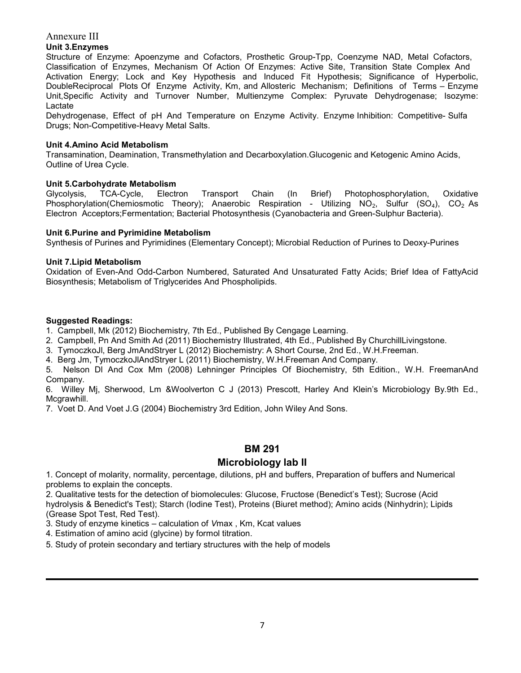# Unit 3.Enzymes

Structure of Enzyme: Apoenzyme and Cofactors, Prosthetic Group-Tpp, Coenzyme NAD, Metal Cofactors, Classification of Enzymes, Mechanism Of Action Of Enzymes: Active Site, Transition State Complex And Activation Energy; Lock and Key Hypothesis and Induced Fit Hypothesis; Significance of Hyperbolic, DoubleReciprocal Plots Of Enzyme Activity, Km, and Allosteric Mechanism; Definitions of Terms – Enzyme Unit,Specific Activity and Turnover Number, Multienzyme Complex: Pyruvate Dehydrogenase; Isozyme: Lactate

Dehydrogenase, Effect of pH And Temperature on Enzyme Activity. Enzyme Inhibition: Competitive- Sulfa Drugs; Non-Competitive-Heavy Metal Salts.

## Unit 4.Amino Acid Metabolism

Transamination, Deamination, Transmethylation and Decarboxylation.Glucogenic and Ketogenic Amino Acids, Outline of Urea Cycle.

# Unit 5.Carbohydrate Metabolism

Glycolysis, TCA-Cycle, Electron Transport Chain (In Brief) Photophosphorylation, Oxidative Phosphorylation(Chemiosmotic Theory); Anaerobic Respiration - Utilizing NO<sub>2</sub>, Sulfur (SO<sub>4</sub>), CO<sub>2</sub> As Electron Acceptors;Fermentation; Bacterial Photosynthesis (Cyanobacteria and Green-Sulphur Bacteria).

# Unit 6.Purine and Pyrimidine Metabolism

Synthesis of Purines and Pyrimidines (Elementary Concept); Microbial Reduction of Purines to Deoxy-Purines

# Unit 7.Lipid Metabolism

Oxidation of Even-And Odd-Carbon Numbered, Saturated And Unsaturated Fatty Acids; Brief Idea of FattyAcid Biosynthesis; Metabolism of Triglycerides And Phospholipids.

# Suggested Readings:

1. Campbell, Mk (2012) Biochemistry, 7th Ed., Published By Cengage Learning.

2. Campbell, Pn And Smith Ad (2011) Biochemistry Illustrated, 4th Ed., Published By ChurchillLivingstone.

3. TymoczkoJl, Berg JmAndStryer L (2012) Biochemistry: A Short Course, 2nd Ed., W.H.Freeman.

4. Berg Jm, TymoczkoJlAndStryer L (2011) Biochemistry, W.H.Freeman And Company.

5. Nelson Dl And Cox Mm (2008) Lehninger Principles Of Biochemistry, 5th Edition., W.H. FreemanAnd Company.

6. Willey Mj, Sherwood, Lm &Woolverton C J (2013) Prescott, Harley And Klein's Microbiology By.9th Ed., Mcgrawhill.

7. Voet D. And Voet J.G (2004) Biochemistry 3rd Edition, John Wiley And Sons.

# BM 291

# Microbiology lab II

1. Concept of molarity, normality, percentage, dilutions, pH and buffers, Preparation of buffers and Numerical problems to explain the concepts.

2. Qualitative tests for the detection of biomolecules: Glucose, Fructose (Benedict's Test); Sucrose (Acid hydrolysis & Benedict's Test); Starch (Iodine Test), Proteins (Biuret method); Amino acids (Ninhydrin); Lipids (Grease Spot Test, Red Test).

3. Study of enzyme kinetics – calculation of Vmax , Km, Kcat values

4. Estimation of amino acid (glycine) by formol titration.

5. Study of protein secondary and tertiary structures with the help of models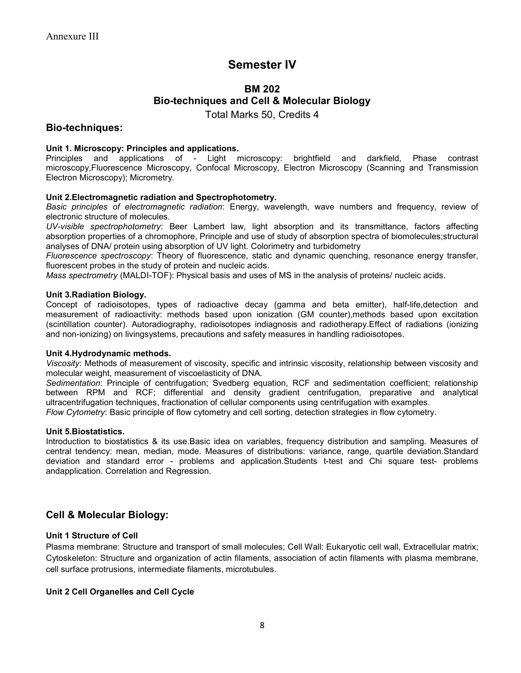# Semester IV

# BM 202 Bio-techniques and Cell & Molecular Biology

Total Marks 50, Credits 4

# Bio-techniques:

## Unit 1. Microscopy: Principles and applications.

Principles and applications of - Light microscopy: brightfield and darkfield, Phase contrast microscopy,Fluorescence Microscopy, Confocal Microscopy, Electron Microscopy (Scanning and Transmission Electron Microscopy); Micrometry.

## Unit 2.Electromagnetic radiation and Spectrophotometry.

Basic principles of electromagnetic radiation: Energy, wavelength, wave numbers and frequency, review of electronic structure of molecules.

UV-visible spectrophotometry: Beer Lambert law, light absorption and its transmittance, factors affecting absorption properties of a chromophore, Principle and use of study of absorption spectra of biomolecules;structural analyses of DNA/ protein using absorption of UV light. Colorimetry and turbidometry

Fluorescence spectroscopy: Theory of fluorescence, static and dynamic quenching, resonance energy transfer, fluorescent probes in the study of protein and nucleic acids.

Mass spectrometry (MALDI-TOF): Physical basis and uses of MS in the analysis of proteins/ nucleic acids.

#### Unit 3.Radiation Biology.

Concept of radioisotopes, types of radioactive decay (gamma and beta emitter), half-life,detection and measurement of radioactivity: methods based upon ionization (GM counter),methods based upon excitation (scintillation counter). Autoradiography, radioisotopes indiagnosis and radiotherapy.Effect of radiations (ionizing and non-ionizing) on livingsystems, precautions and safety measures in handling radioisotopes.

#### Unit 4.Hydrodynamic methods.

Viscosity: Methods of measurement of viscosity, specific and intrinsic viscosity, relationship between viscosity and molecular weight, measurement of viscoelasticity of DNA.

Sedimentation: Principle of centrifugation; Svedberg equation, RCF and sedimentation coefficient; relationship between RPM and RCF; differential and density gradient centrifugation, preparative and analytical ultracentrifugation techniques, fractionation of cellular components using centrifugation with examples. Flow Cytometry: Basic principle of flow cytometry and cell sorting, detection strategies in flow cytometry.

#### Unit 5.Biostatistics.

Introduction to biostatistics & its use.Basic idea on variables, frequency distribution and sampling. Measures of central tendency: mean, median, mode. Measures of distributions: variance, range, quartile deviation.Standard deviation and standard error - problems and application.Students t-test and Chi square test- problems andapplication. Correlation and Regression.

# Cell & Molecular Biology:

## Unit 1 Structure of Cell

Plasma membrane: Structure and transport of small molecules; Cell Wall: Eukaryotic cell wall, Extracellular matrix; Cytoskeleton: Structure and organization of actin filaments, association of actin filaments with plasma membrane, cell surface protrusions, intermediate filaments, microtubules.

#### Unit 2 Cell Organelles and Cell Cycle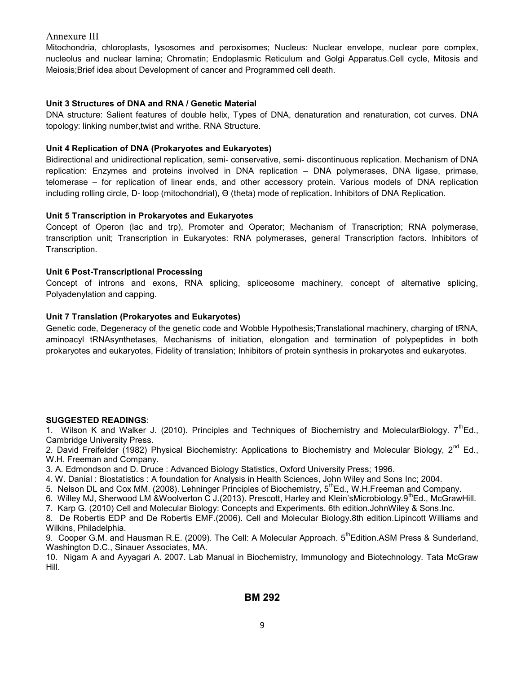Mitochondria, chloroplasts, lysosomes and peroxisomes; Nucleus: Nuclear envelope, nuclear pore complex, nucleolus and nuclear lamina; Chromatin; Endoplasmic Reticulum and Golgi Apparatus.Cell cycle, Mitosis and Meiosis;Brief idea about Development of cancer and Programmed cell death.

## Unit 3 Structures of DNA and RNA / Genetic Material

DNA structure: Salient features of double helix, Types of DNA, denaturation and renaturation, cot curves. DNA topology: linking number,twist and writhe. RNA Structure.

## Unit 4 Replication of DNA (Prokaryotes and Eukaryotes)

Bidirectional and unidirectional replication, semi- conservative, semi- discontinuous replication. Mechanism of DNA replication: Enzymes and proteins involved in DNA replication – DNA polymerases, DNA ligase, primase, telomerase – for replication of linear ends, and other accessory protein. Various models of DNA replication including rolling circle, D- loop (mitochondrial), Ө (theta) mode of replication. Inhibitors of DNA Replication.

## Unit 5 Transcription in Prokaryotes and Eukaryotes

Concept of Operon (lac and trp), Promoter and Operator; Mechanism of Transcription; RNA polymerase, transcription unit; Transcription in Eukaryotes: RNA polymerases, general Transcription factors. Inhibitors of Transcription.

## Unit 6 Post-Transcriptional Processing

Concept of introns and exons, RNA splicing, spliceosome machinery, concept of alternative splicing, Polyadenylation and capping.

#### Unit 7 Translation (Prokaryotes and Eukaryotes)

Genetic code, Degeneracy of the genetic code and Wobble Hypothesis;Translational machinery, charging of tRNA, aminoacyl tRNAsynthetases, Mechanisms of initiation, elongation and termination of polypeptides in both prokaryotes and eukaryotes, Fidelity of translation; Inhibitors of protein synthesis in prokaryotes and eukaryotes.

#### SUGGESTED READINGS:

1. Wilson K and Walker J. (2010). Principles and Techniques of Biochemistry and MolecularBiology.  $7^{th}$ Ed., Cambridge University Press.

2. David Freifelder (1982) Physical Biochemistry: Applications to Biochemistry and Molecular Biology, 2<sup>nd</sup> Ed., W.H. Freeman and Company.

3. A. Edmondson and D. Druce : Advanced Biology Statistics, Oxford University Press; 1996.

4. W. Danial : Biostatistics : A foundation for Analysis in Health Sciences, John Wiley and Sons Inc; 2004.

5. Nelson DL and Cox MM. (2008). Lehninger Principles of Biochemistry, 5<sup>th</sup>Ed., W.H.Freeman and Company.

6. Willey MJ, Sherwood LM &Woolverton C J.(2013). Prescott, Harley and Klein'sMicrobiology.9<sup>th</sup>Ed., McGrawHill.

7. Karp G. (2010) Cell and Molecular Biology: Concepts and Experiments. 6th edition.JohnWiley & Sons.Inc.

8. De Robertis EDP and De Robertis EMF.(2006). Cell and Molecular Biology.8th edition.Lipincott Williams and Wilkins, Philadelphia.

9. Cooper G.M. and Hausman R.E. (2009). The Cell: A Molecular Approach. 5<sup>th</sup>Edition.ASM Press & Sunderland, Washington D.C., Sinauer Associates, MA.

10. Nigam A and Ayyagari A. 2007. Lab Manual in Biochemistry, Immunology and Biotechnology. Tata McGraw Hill.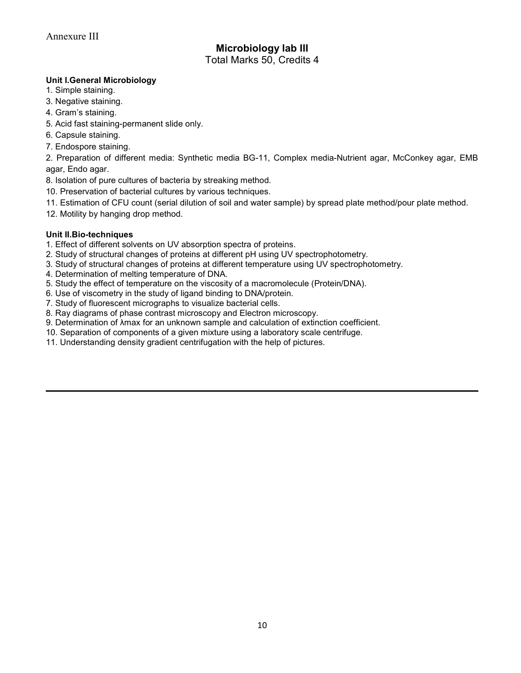# Microbiology lab III Total Marks 50, Credits 4

## Unit I.General Microbiology

- 1. Simple staining.
- 3. Negative staining.
- 4. Gram's staining.
- 5. Acid fast staining-permanent slide only.
- 6. Capsule staining.
- 7. Endospore staining.

2. Preparation of different media: Synthetic media BG-11, Complex media-Nutrient agar, McConkey agar, EMB agar, Endo agar.

- 8. Isolation of pure cultures of bacteria by streaking method.
- 10. Preservation of bacterial cultures by various techniques.
- 11. Estimation of CFU count (serial dilution of soil and water sample) by spread plate method/pour plate method.
- 12. Motility by hanging drop method.

## Unit II.Bio-techniques

- 1. Effect of different solvents on UV absorption spectra of proteins.
- 2. Study of structural changes of proteins at different pH using UV spectrophotometry.
- 3. Study of structural changes of proteins at different temperature using UV spectrophotometry.
- 4. Determination of melting temperature of DNA.
- 5. Study the effect of temperature on the viscosity of a macromolecule (Protein/DNA).
- 6. Use of viscometry in the study of ligand binding to DNA/protein.
- 7. Study of fluorescent micrographs to visualize bacterial cells.
- 8. Ray diagrams of phase contrast microscopy and Electron microscopy.
- 9. Determination of  $\lambda$ max for an unknown sample and calculation of extinction coefficient.
- 10. Separation of components of a given mixture using a laboratory scale centrifuge.
- 11. Understanding density gradient centrifugation with the help of pictures.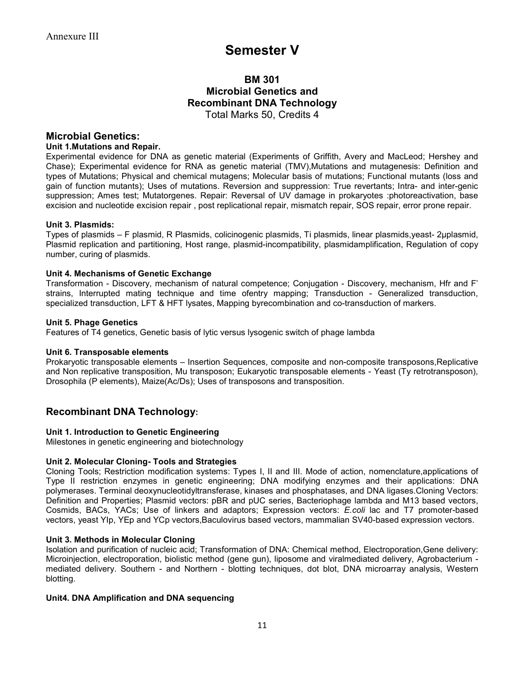# Semester V

# BM 301 Microbial Genetics and Recombinant DNA Technology Total Marks 50, Credits 4

# Microbial Genetics:

## Unit 1.Mutations and Repair.

Experimental evidence for DNA as genetic material (Experiments of Griffith, Avery and MacLeod; Hershey and Chase); Experimental evidence for RNA as genetic material (TMV),Mutations and mutagenesis: Definition and types of Mutations; Physical and chemical mutagens; Molecular basis of mutations; Functional mutants (loss and gain of function mutants); Uses of mutations. Reversion and suppression: True revertants; Intra- and inter-genic suppression; Ames test; Mutatorgenes. Repair: Reversal of UV damage in prokaryotes :photoreactivation, base excision and nucleotide excision repair , post replicational repair, mismatch repair, SOS repair, error prone repair.

## Unit 3. Plasmids:

Types of plasmids – F plasmid, R Plasmids, colicinogenic plasmids, Ti plasmids, linear plasmids,yeast- 2μplasmid, Plasmid replication and partitioning, Host range, plasmid-incompatibility, plasmidamplification, Regulation of copy number, curing of plasmids.

## Unit 4. Mechanisms of Genetic Exchange

Transformation - Discovery, mechanism of natural competence; Conjugation - Discovery, mechanism, Hfr and F' strains, Interrupted mating technique and time ofentry mapping; Transduction - Generalized transduction, specialized transduction, LFT & HFT lysates, Mapping byrecombination and co-transduction of markers.

#### Unit 5. Phage Genetics

Features of T4 genetics, Genetic basis of lytic versus lysogenic switch of phage lambda

#### Unit 6. Transposable elements

Prokaryotic transposable elements – Insertion Sequences, composite and non-composite transposons,Replicative and Non replicative transposition, Mu transposon; Eukaryotic transposable elements - Yeast (Ty retrotransposon), Drosophila (P elements), Maize(Ac/Ds); Uses of transposons and transposition.

# Recombinant DNA Technology:

#### Unit 1. Introduction to Genetic Engineering

Milestones in genetic engineering and biotechnology

## Unit 2. Molecular Cloning- Tools and Strategies

Cloning Tools; Restriction modification systems: Types I, II and III. Mode of action, nomenclature,applications of Type II restriction enzymes in genetic engineering; DNA modifying enzymes and their applications: DNA polymerases. Terminal deoxynucleotidyltransferase, kinases and phosphatases, and DNA ligases.Cloning Vectors: Definition and Properties; Plasmid vectors: pBR and pUC series, Bacteriophage lambda and M13 based vectors, Cosmids, BACs, YACs; Use of linkers and adaptors; Expression vectors: E.coli lac and T7 promoter-based vectors, yeast YIp, YEp and YCp vectors,Baculovirus based vectors, mammalian SV40-based expression vectors.

#### Unit 3. Methods in Molecular Cloning

Isolation and purification of nucleic acid; Transformation of DNA: Chemical method, Electroporation,Gene delivery: Microinjection, electroporation, biolistic method (gene gun), liposome and viralmediated delivery, Agrobacterium mediated delivery. Southern - and Northern - blotting techniques, dot blot, DNA microarray analysis, Western blotting.

#### Unit4. DNA Amplification and DNA sequencing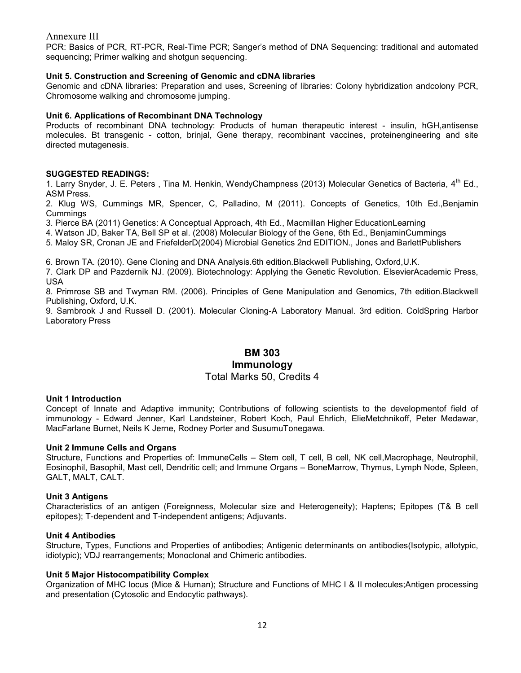PCR: Basics of PCR, RT-PCR, Real-Time PCR; Sanger's method of DNA Sequencing: traditional and automated sequencing; Primer walking and shotgun sequencing.

#### Unit 5. Construction and Screening of Genomic and cDNA libraries

Genomic and cDNA libraries: Preparation and uses, Screening of libraries: Colony hybridization andcolony PCR, Chromosome walking and chromosome jumping.

#### Unit 6. Applications of Recombinant DNA Technology

Products of recombinant DNA technology: Products of human therapeutic interest - insulin, hGH,antisense molecules. Bt transgenic - cotton, brinjal, Gene therapy, recombinant vaccines, proteinengineering and site directed mutagenesis.

## SUGGESTED READINGS:

1. Larry Snyder, J. E. Peters , Tina M. Henkin, WendyChampness (2013) Molecular Genetics of Bacteria, 4th Ed., ASM Press.

2. Klug WS, Cummings MR, Spencer, C, Palladino, M (2011). Concepts of Genetics, 10th Ed.,Benjamin **Cummings** 

3. Pierce BA (2011) Genetics: A Conceptual Approach, 4th Ed., Macmillan Higher EducationLearning

4. Watson JD, Baker TA, Bell SP et al. (2008) Molecular Biology of the Gene, 6th Ed., BenjaminCummings

5. Maloy SR, Cronan JE and FriefelderD(2004) Microbial Genetics 2nd EDITION., Jones and BarlettPublishers

6. Brown TA. (2010). Gene Cloning and DNA Analysis.6th edition.Blackwell Publishing, Oxford,U.K.

7. Clark DP and Pazdernik NJ. (2009). Biotechnology: Applying the Genetic Revolution. ElsevierAcademic Press, USA

8. Primrose SB and Twyman RM. (2006). Principles of Gene Manipulation and Genomics, 7th edition.Blackwell Publishing, Oxford, U.K.

9. Sambrook J and Russell D. (2001). Molecular Cloning-A Laboratory Manual. 3rd edition. ColdSpring Harbor Laboratory Press

# BM 303 Immunology Total Marks 50, Credits 4

#### Unit 1 Introduction

Concept of Innate and Adaptive immunity; Contributions of following scientists to the developmentof field of immunology - Edward Jenner, Karl Landsteiner, Robert Koch, Paul Ehrlich, ElieMetchnikoff, Peter Medawar, MacFarlane Burnet, Neils K Jerne, Rodney Porter and SusumuTonegawa.

#### Unit 2 Immune Cells and Organs

Structure, Functions and Properties of: ImmuneCells – Stem cell, T cell, B cell, NK cell,Macrophage, Neutrophil, Eosinophil, Basophil, Mast cell, Dendritic cell; and Immune Organs – BoneMarrow, Thymus, Lymph Node, Spleen, GALT, MALT, CALT.

#### Unit 3 Antigens

Characteristics of an antigen (Foreignness, Molecular size and Heterogeneity); Haptens; Epitopes (T& B cell epitopes); T-dependent and T-independent antigens; Adjuvants.

#### Unit 4 Antibodies

Structure, Types, Functions and Properties of antibodies; Antigenic determinants on antibodies(Isotypic, allotypic, idiotypic); VDJ rearrangements; Monoclonal and Chimeric antibodies.

#### Unit 5 Major Histocompatibility Complex

Organization of MHC locus (Mice & Human); Structure and Functions of MHC I & II molecules;Antigen processing and presentation (Cytosolic and Endocytic pathways).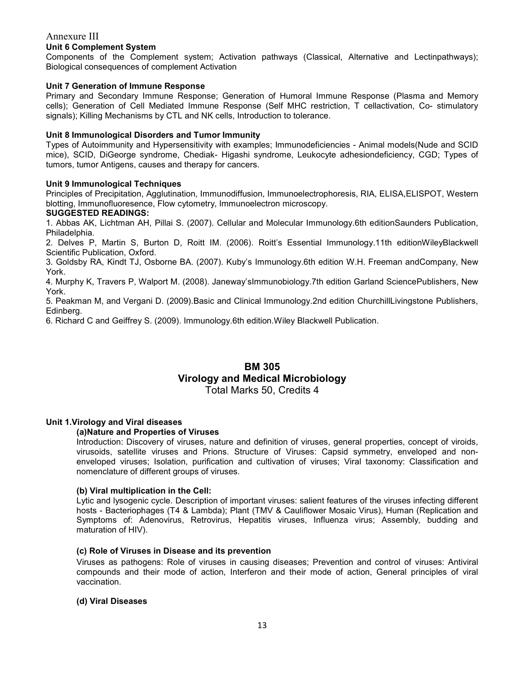## Unit 6 Complement System

Components of the Complement system; Activation pathways (Classical, Alternative and Lectinpathways); Biological consequences of complement Activation

#### Unit 7 Generation of Immune Response

Primary and Secondary Immune Response; Generation of Humoral Immune Response (Plasma and Memory cells); Generation of Cell Mediated Immune Response (Self MHC restriction, T cellactivation, Co- stimulatory signals); Killing Mechanisms by CTL and NK cells, Introduction to tolerance.

#### Unit 8 Immunological Disorders and Tumor Immunity

Types of Autoimmunity and Hypersensitivity with examples; Immunodeficiencies - Animal models(Nude and SCID mice), SCID, DiGeorge syndrome, Chediak- Higashi syndrome, Leukocyte adhesiondeficiency, CGD; Types of tumors, tumor Antigens, causes and therapy for cancers.

## Unit 9 Immunological Techniques

Principles of Precipitation, Agglutination, Immunodiffusion, Immunoelectrophoresis, RIA, ELISA,ELISPOT, Western blotting, Immunofluoresence, Flow cytometry, Immunoelectron microscopy.

#### SUGGESTED READINGS:

1. Abbas AK, Lichtman AH, Pillai S. (2007). Cellular and Molecular Immunology.6th editionSaunders Publication, Philadelphia.

2. Delves P, Martin S, Burton D, Roitt IM. (2006). Roitt's Essential Immunology.11th editionWileyBlackwell Scientific Publication, Oxford.

3. Goldsby RA, Kindt TJ, Osborne BA. (2007). Kuby's Immunology.6th edition W.H. Freeman andCompany, New York.

4. Murphy K, Travers P, Walport M. (2008). Janeway'sImmunobiology.7th edition Garland SciencePublishers, New York.

5. Peakman M, and Vergani D. (2009).Basic and Clinical Immunology.2nd edition ChurchillLivingstone Publishers, Edinberg.

6. Richard C and Geiffrey S. (2009). Immunology.6th edition.Wiley Blackwell Publication.

# BM 305 Virology and Medical Microbiology

Total Marks 50, Credits 4

## Unit 1.Virology and Viral diseases

#### (a)Nature and Properties of Viruses

Introduction: Discovery of viruses, nature and definition of viruses, general properties, concept of viroids, virusoids, satellite viruses and Prions. Structure of Viruses: Capsid symmetry, enveloped and nonenveloped viruses; Isolation, purification and cultivation of viruses; Viral taxonomy: Classification and nomenclature of different groups of viruses.

#### (b) Viral multiplication in the Cell:

Lytic and lysogenic cycle. Description of important viruses: salient features of the viruses infecting different hosts - Bacteriophages (T4 & Lambda); Plant (TMV & Cauliflower Mosaic Virus), Human (Replication and Symptoms of: Adenovirus, Retrovirus, Hepatitis viruses, Influenza virus; Assembly, budding and maturation of HIV).

#### (c) Role of Viruses in Disease and its prevention

Viruses as pathogens: Role of viruses in causing diseases; Prevention and control of viruses: Antiviral compounds and their mode of action, Interferon and their mode of action, General principles of viral vaccination.

#### (d) Viral Diseases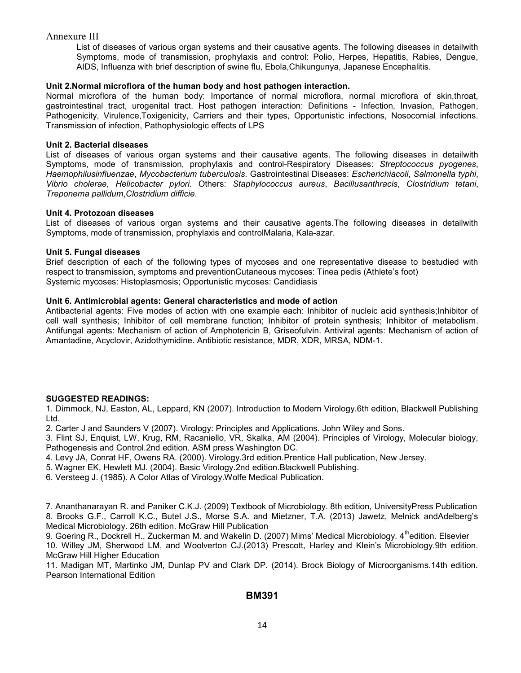List of diseases of various organ systems and their causative agents. The following diseases in detailwith Symptoms, mode of transmission, prophylaxis and control: Polio, Herpes, Hepatitis, Rabies, Dengue, AIDS, Influenza with brief description of swine flu, Ebola,Chikungunya, Japanese Encephalitis.

## Unit 2.Normal microflora of the human body and host pathogen interaction.

Normal microflora of the human body: Importance of normal microflora, normal microflora of skin,throat, gastrointestinal tract, urogenital tract. Host pathogen interaction: Definitions - Infection, Invasion, Pathogen, Pathogenicity, Virulence,Toxigenicity, Carriers and their types, Opportunistic infections, Nosocomial infections. Transmission of infection, Pathophysiologic effects of LPS

## Unit 2. Bacterial diseases

List of diseases of various organ systems and their causative agents. The following diseases in detailwith Symptoms, mode of transmission, prophylaxis and control-Respiratory Diseases: Streptococcus pyogenes, Haemophilusinfluenzae, Mycobacterium tuberculosis. Gastrointestinal Diseases: Escherichiacoli, Salmonella typhi, Vibrio cholerae, Helicobacter pylori. Others: Staphylococcus aureus, Bacillusanthracis, Clostridium tetani, Treponema pallidum,Clostridium difficie.

## Unit 4. Protozoan diseases

List of diseases of various organ systems and their causative agents.The following diseases in detailwith Symptoms, mode of transmission, prophylaxis and controlMalaria, Kala-azar.

## Unit 5. Fungal diseases

Brief description of each of the following types of mycoses and one representative disease to bestudied with respect to transmission, symptoms and preventionCutaneous mycoses: Tinea pedis (Athlete's foot) Systemic mycoses: Histoplasmosis; Opportunistic mycoses: Candidiasis

## Unit 6. Antimicrobial agents: General characteristics and mode of action

Antibacterial agents: Five modes of action with one example each: Inhibitor of nucleic acid synthesis;Inhibitor of cell wall synthesis; Inhibitor of cell membrane function; Inhibitor of protein synthesis; Inhibitor of metabolism. Antifungal agents: Mechanism of action of Amphotericin B, Griseofulvin. Antiviral agents: Mechanism of action of Amantadine, Acyclovir, Azidothymidine. Antibiotic resistance, MDR, XDR, MRSA, NDM-1.

# SUGGESTED READINGS:

1. Dimmock, NJ, Easton, AL, Leppard, KN (2007). Introduction to Modern Virology.6th edition, Blackwell Publishing Ltd.

2. Carter J and Saunders V (2007). Virology: Principles and Applications. John Wiley and Sons.

3. Flint SJ, Enquist, LW, Krug, RM, Racaniello, VR, Skalka, AM (2004). Principles of Virology, Molecular biology, Pathogenesis and Control.2nd edition. ASM press Washington DC.

- 4. Levy JA, Conrat HF, Owens RA. (2000). Virology.3rd edition.Prentice Hall publication, New Jersey.
- 5. Wagner EK, Hewlett MJ. (2004). Basic Virology.2nd edition.Blackwell Publishing.
- 6. Versteeg J. (1985). A Color Atlas of Virology.Wolfe Medical Publication.

7. Ananthanarayan R. and Paniker C.K.J. (2009) Textbook of Microbiology. 8th edition, UniversityPress Publication 8. Brooks G.F., Carroll K.C., Butel J.S., Morse S.A. and Mietzner, T.A. (2013) Jawetz, Melnick andAdelberg's Medical Microbiology. 26th edition. McGraw Hill Publication

9. Goering R., Dockrell H., Zuckerman M. and Wakelin D. (2007) Mims' Medical Microbiology. 4<sup>th</sup>edition. Elsevier 10. Willey JM, Sherwood LM, and Woolverton CJ.(2013) Prescott, Harley and Klein's Microbiology.9th edition. McGraw Hill Higher Education

11. Madigan MT, Martinko JM, Dunlap PV and Clark DP. (2014). Brock Biology of Microorganisms.14th edition. Pearson International Edition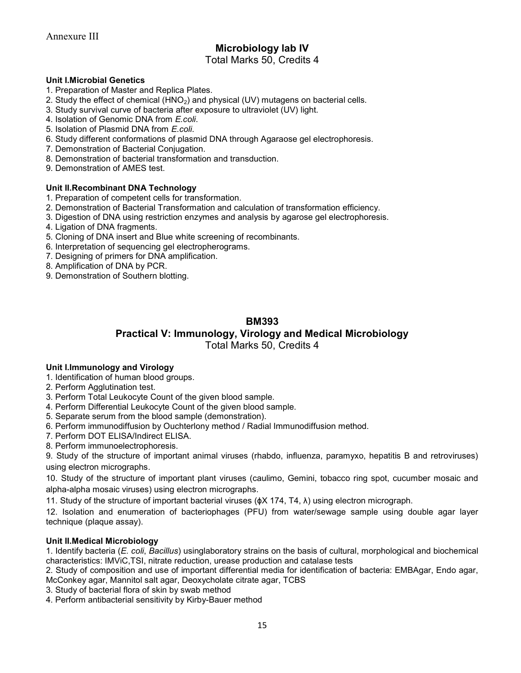# Microbiology lab IV

# Total Marks 50, Credits 4

## Unit I.Microbial Genetics

- 1. Preparation of Master and Replica Plates.
- 2. Study the effect of chemical  $(HNO<sub>2</sub>)$  and physical  $(UV)$  mutagens on bacterial cells.
- 3. Study survival curve of bacteria after exposure to ultraviolet (UV) light.
- 4. Isolation of Genomic DNA from E.coli.
- 5. Isolation of Plasmid DNA from *F coli*.
- 6. Study different conformations of plasmid DNA through Agaraose gel electrophoresis.
- 7. Demonstration of Bacterial Conjugation.
- 8. Demonstration of bacterial transformation and transduction.
- 9. Demonstration of AMES test.

## Unit II.Recombinant DNA Technology

- 1. Preparation of competent cells for transformation.
- 2. Demonstration of Bacterial Transformation and calculation of transformation efficiency.
- 3. Digestion of DNA using restriction enzymes and analysis by agarose gel electrophoresis.
- 4. Ligation of DNA fragments.
- 5. Cloning of DNA insert and Blue white screening of recombinants.
- 6. Interpretation of sequencing gel electropherograms.
- 7. Designing of primers for DNA amplification.
- 8. Amplification of DNA by PCR.
- 9. Demonstration of Southern blotting.

# BM393

# Practical V: Immunology, Virology and Medical Microbiology

Total Marks 50, Credits 4

#### Unit I.Immunology and Virology

- 1. Identification of human blood groups.
- 2. Perform Agglutination test.
- 3. Perform Total Leukocyte Count of the given blood sample.
- 4. Perform Differential Leukocyte Count of the given blood sample.
- 5. Separate serum from the blood sample (demonstration).
- 6. Perform immunodiffusion by Ouchterlony method / Radial Immunodiffusion method.
- 7. Perform DOT ELISA/Indirect ELISA.
- 8. Perform immunoelectrophoresis.

9. Study of the structure of important animal viruses (rhabdo, influenza, paramyxo, hepatitis B and retroviruses) using electron micrographs.

10. Study of the structure of important plant viruses (caulimo, Gemini, tobacco ring spot, cucumber mosaic and alpha-alpha mosaic viruses) using electron micrographs.

11. Study of the structure of important bacterial viruses (ɸX 174, T4, λ) using electron micrograph.

12. Isolation and enumeration of bacteriophages (PFU) from water/sewage sample using double agar layer technique (plaque assay).

#### Unit II.Medical Microbiology

1. Identify bacteria (E. coli, Bacillus) usinglaboratory strains on the basis of cultural, morphological and biochemical characteristics: IMViC,TSI, nitrate reduction, urease production and catalase tests

2. Study of composition and use of important differential media for identification of bacteria: EMBAgar, Endo agar, McConkey agar, Mannitol salt agar, Deoxycholate citrate agar, TCBS

3. Study of bacterial flora of skin by swab method

4. Perform antibacterial sensitivity by Kirby-Bauer method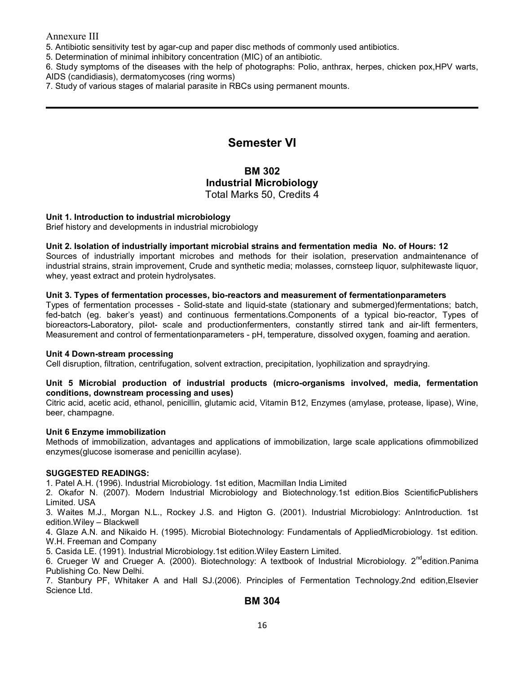5. Antibiotic sensitivity test by agar-cup and paper disc methods of commonly used antibiotics.

5. Determination of minimal inhibitory concentration (MIC) of an antibiotic.

6. Study symptoms of the diseases with the help of photographs: Polio, anthrax, herpes, chicken pox,HPV warts,

AIDS (candidiasis), dermatomycoses (ring worms)

7. Study of various stages of malarial parasite in RBCs using permanent mounts.

# Semester VI

# BM 302 Industrial Microbiology Total Marks 50, Credits 4

## Unit 1. Introduction to industrial microbiology

Brief history and developments in industrial microbiology

## Unit 2. Isolation of industrially important microbial strains and fermentation media No. of Hours: 12

Sources of industrially important microbes and methods for their isolation, preservation andmaintenance of industrial strains, strain improvement, Crude and synthetic media; molasses, cornsteep liquor, sulphitewaste liquor, whey, yeast extract and protein hydrolysates.

## Unit 3. Types of fermentation processes, bio-reactors and measurement of fermentationparameters

Types of fermentation processes - Solid-state and liquid-state (stationary and submerged)fermentations; batch, fed-batch (eg. baker's yeast) and continuous fermentations.Components of a typical bio-reactor, Types of bioreactors-Laboratory, pilot- scale and productionfermenters, constantly stirred tank and air-lift fermenters, Measurement and control of fermentationparameters - pH, temperature, dissolved oxygen, foaming and aeration.

#### Unit 4 Down-stream processing

Cell disruption, filtration, centrifugation, solvent extraction, precipitation, lyophilization and spraydrying.

#### Unit 5 Microbial production of industrial products (micro-organisms involved, media, fermentation conditions, downstream processing and uses)

Citric acid, acetic acid, ethanol, penicillin, glutamic acid, Vitamin B12, Enzymes (amylase, protease, lipase), Wine, beer, champagne.

## Unit 6 Enzyme immobilization

Methods of immobilization, advantages and applications of immobilization, large scale applications ofimmobilized enzymes(glucose isomerase and penicillin acylase).

#### SUGGESTED READINGS:

1. Patel A.H. (1996). Industrial Microbiology. 1st edition, Macmillan India Limited

2. Okafor N. (2007). Modern Industrial Microbiology and Biotechnology.1st edition.Bios ScientificPublishers Limited. USA

3. Waites M.J., Morgan N.L., Rockey J.S. and Higton G. (2001). Industrial Microbiology: AnIntroduction. 1st edition.Wiley – Blackwell

4. Glaze A.N. and Nikaido H. (1995). Microbial Biotechnology: Fundamentals of AppliedMicrobiology. 1st edition. W.H. Freeman and Company

5. Casida LE. (1991). Industrial Microbiology.1st edition.Wiley Eastern Limited.

6. Crueger W and Crueger A. (2000). Biotechnology: A textbook of Industrial Microbiology. 2<sup>nd</sup>edition.Panima Publishing Co. New Delhi.

7. Stanbury PF, Whitaker A and Hall SJ.(2006). Principles of Fermentation Technology.2nd edition,Elsevier Science Ltd.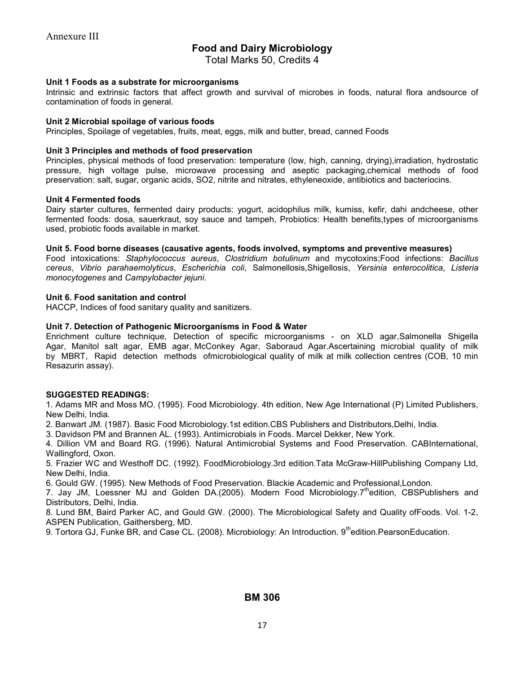# Food and Dairy Microbiology

Total Marks 50, Credits 4

#### Unit 1 Foods as a substrate for microorganisms

Intrinsic and extrinsic factors that affect growth and survival of microbes in foods, natural flora andsource of contamination of foods in general.

#### Unit 2 Microbial spoilage of various foods

Principles, Spoilage of vegetables, fruits, meat, eggs, milk and butter, bread, canned Foods

#### Unit 3 Principles and methods of food preservation

Principles, physical methods of food preservation: temperature (low, high, canning, drying),irradiation, hydrostatic pressure, high voltage pulse, microwave processing and aseptic packaging,chemical methods of food preservation: salt, sugar, organic acids, SO2, nitrite and nitrates, ethyleneoxide, antibiotics and bacteriocins.

#### Unit 4 Fermented foods

Dairy starter cultures, fermented dairy products: yogurt, acidophilus milk, kumiss, kefir, dahi andcheese, other fermented foods: dosa, sauerkraut, soy sauce and tampeh, Probiotics: Health benefits,types of microorganisms used, probiotic foods available in market.

#### Unit 5. Food borne diseases (causative agents, foods involved, symptoms and preventive measures)

Food intoxications: Staphylococcus aureus, Clostridium botulinum and mycotoxins;Food infections: Bacillus cereus, Vibrio parahaemolyticus, Escherichia coli, Salmonellosis,Shigellosis, Yersinia enterocolitica, Listeria monocytogenes and Campylobacter jejuni.

## Unit 6. Food sanitation and control

HACCP, Indices of food sanitary quality and sanitizers.

## Unit 7. Detection of Pathogenic Microorganisms in Food & Water

Enrichment culture technique, Detection of specific microorganisms - on XLD agar,Salmonella Shigella Agar, Manitol salt agar, EMB agar, McConkey Agar, Saboraud Agar.Ascertaining microbial quality of milk by MBRT, Rapid detection methods ofmicrobiological quality of milk at milk collection centres (COB, 10 min Resazurin assay).

## SUGGESTED READINGS:

1. Adams MR and Moss MO. (1995). Food Microbiology. 4th edition, New Age International (P) Limited Publishers, New Delhi, India.

2. Banwart JM. (1987). Basic Food Microbiology.1st edition.CBS Publishers and Distributors,Delhi, India.

3. Davidson PM and Brannen AL. (1993). Antimicrobials in Foods. Marcel Dekker, New York.

4. Dillion VM and Board RG. (1996). Natural Antimicrobial Systems and Food Preservation. CABInternational, Wallingford, Oxon.

5. Frazier WC and Westhoff DC. (1992). FoodMicrobiology.3rd edition.Tata McGraw-HillPublishing Company Ltd, New Delhi, India.

6. Gould GW. (1995). New Methods of Food Preservation. Blackie Academic and Professional,London.

7. Jay JM, Loessner MJ and Golden DA.(2005). Modern Food Microbiology.7<sup>th</sup>edition, CBSPublishers and Distributors, Delhi, India.

8. Lund BM, Baird Parker AC, and Gould GW. (2000). The Microbiological Safety and Quality ofFoods. Vol. 1-2, ASPEN Publication, Gaithersberg, MD.

9. Tortora GJ, Funke BR, and Case CL. (2008). Microbiology: An Introduction. 9<sup>th</sup>edition. PearsonEducation.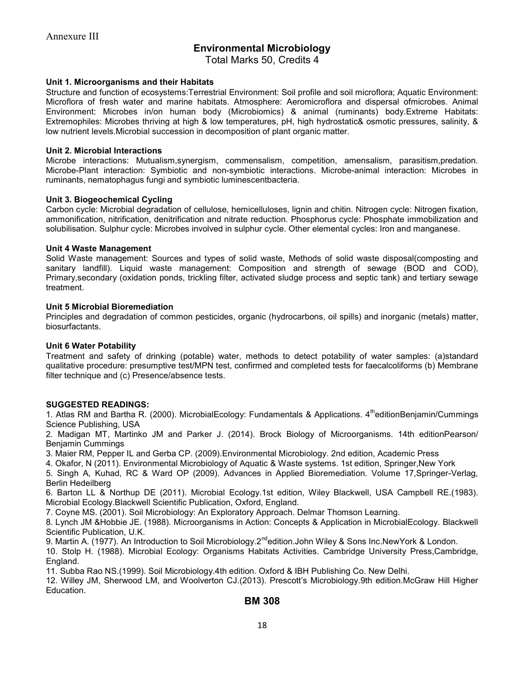# Environmental Microbiology

Total Marks 50, Credits 4

#### Unit 1. Microorganisms and their Habitats

Structure and function of ecosystems:Terrestrial Environment: Soil profile and soil microflora; Aquatic Environment: Microflora of fresh water and marine habitats. Atmosphere: Aeromicroflora and dispersal ofmicrobes. Animal Environment: Microbes in/on human body (Microbiomics) & animal (ruminants) body.Extreme Habitats: Extremophiles: Microbes thriving at high & low temperatures, pH, high hydrostatic& osmotic pressures, salinity, & low nutrient levels.Microbial succession in decomposition of plant organic matter.

#### Unit 2. Microbial Interactions

Microbe interactions: Mutualism,synergism, commensalism, competition, amensalism, parasitism,predation. Microbe-Plant interaction: Symbiotic and non-symbiotic interactions. Microbe-animal interaction: Microbes in ruminants, nematophagus fungi and symbiotic luminescentbacteria.

#### Unit 3. Biogeochemical Cycling

Carbon cycle: Microbial degradation of cellulose, hemicelluloses, lignin and chitin. Nitrogen cycle: Nitrogen fixation, ammonification, nitrification, denitrification and nitrate reduction. Phosphorus cycle: Phosphate immobilization and solubilisation. Sulphur cycle: Microbes involved in sulphur cycle. Other elemental cycles: Iron and manganese.

#### Unit 4 Waste Management

Solid Waste management: Sources and types of solid waste, Methods of solid waste disposal(composting and sanitary landfill). Liquid waste management: Composition and strength of sewage (BOD and COD), Primary,secondary (oxidation ponds, trickling filter, activated sludge process and septic tank) and tertiary sewage treatment.

#### Unit 5 Microbial Bioremediation

Principles and degradation of common pesticides, organic (hydrocarbons, oil spills) and inorganic (metals) matter, biosurfactants.

#### Unit 6 Water Potability

Treatment and safety of drinking (potable) water, methods to detect potability of water samples: (a)standard qualitative procedure: presumptive test/MPN test, confirmed and completed tests for faecalcoliforms (b) Membrane filter technique and (c) Presence/absence tests.

#### SUGGESTED READINGS:

1. Atlas RM and Bartha R. (2000). MicrobialEcology: Fundamentals & Applications. 4<sup>th</sup>editionBenjamin/Cummings Science Publishing, USA

2. Madigan MT, Martinko JM and Parker J. (2014). Brock Biology of Microorganisms. 14th editionPearson/ Benjamin Cummings

3. Maier RM, Pepper IL and Gerba CP. (2009).Environmental Microbiology. 2nd edition, Academic Press

4. Okafor, N (2011). Environmental Microbiology of Aquatic & Waste systems. 1st edition, Springer,New York

5. Singh A, Kuhad, RC & Ward OP (2009). Advances in Applied Bioremediation. Volume 17,Springer-Verlag, Berlin Hedeilberg

6. Barton LL & Northup DE (2011). Microbial Ecology.1st edition, Wiley Blackwell, USA Campbell RE.(1983). Microbial Ecology.Blackwell Scientific Publication, Oxford, England.

7. Coyne MS. (2001). Soil Microbiology: An Exploratory Approach. Delmar Thomson Learning.

8. Lynch JM &Hobbie JE. (1988). Microorganisms in Action: Concepts & Application in MicrobialEcology. Blackwell Scientific Publication, U.K.

9. Martin A. (1977). An Introduction to Soil Microbiology.2<sup>nd</sup>edition.John Wiley & Sons Inc.NewYork & London.

10. Stolp H. (1988). Microbial Ecology: Organisms Habitats Activities. Cambridge University Press,Cambridge, England.

11. Subba Rao NS.(1999). Soil Microbiology.4th edition. Oxford & IBH Publishing Co. New Delhi.

12. Willey JM, Sherwood LM, and Woolverton CJ.(2013). Prescott's Microbiology.9th edition.McGraw Hill Higher Education.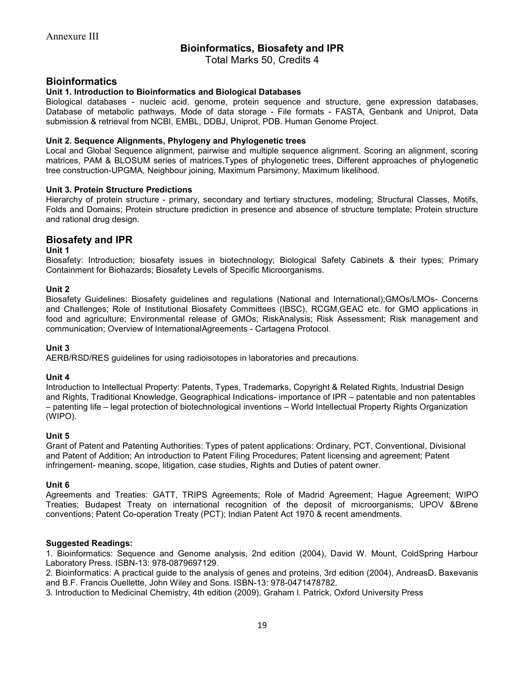# Bioinformatics, Biosafety and IPR

Total Marks 50, Credits 4

# **Bioinformatics**

## Unit 1. Introduction to Bioinformatics and Biological Databases

Biological databases - nucleic acid, genome, protein sequence and structure, gene expression databases, Database of metabolic pathways, Mode of data storage - File formats - FASTA, Genbank and Uniprot, Data submission & retrieval from NCBI, EMBL, DDBJ, Uniprot, PDB. Human Genome Project.

#### Unit 2. Sequence Alignments, Phylogeny and Phylogenetic trees

Local and Global Sequence alignment, pairwise and multiple sequence alignment. Scoring an alignment, scoring matrices, PAM & BLOSUM series of matrices.Types of phylogenetic trees, Different approaches of phylogenetic tree construction-UPGMA, Neighbour joining, Maximum Parsimony, Maximum likelihood.

## Unit 3. Protein Structure Predictions

Hierarchy of protein structure - primary, secondary and tertiary structures, modeling; Structural Classes, Motifs, Folds and Domains; Protein structure prediction in presence and absence of structure template; Protein structure and rational drug design.

# Biosafety and IPR

#### Unit 1

Biosafety: Introduction; biosafety issues in biotechnology; Biological Safety Cabinets & their types; Primary Containment for Biohazards; Biosafety Levels of Specific Microorganisms.

#### Unit 2

Biosafety Guidelines: Biosafety guidelines and regulations (National and International);GMOs/LMOs- Concerns and Challenges; Role of Institutional Biosafety Committees (IBSC), RCGM,GEAC etc. for GMO applications in food and agriculture; Environmental release of GMOs; RiskAnalysis; Risk Assessment; Risk management and communication; Overview of InternationalAgreements - Cartagena Protocol.

#### Unit 3

AERB/RSD/RES guidelines for using radioisotopes in laboratories and precautions.

#### Unit 4

Introduction to Intellectual Property: Patents, Types, Trademarks, Copyright & Related Rights, Industrial Design and Rights, Traditional Knowledge, Geographical Indications- importance of IPR – patentable and non patentables – patenting life – legal protection of biotechnological inventions – World Intellectual Property Rights Organization (WIPO).

#### Unit 5

Grant of Patent and Patenting Authorities: Types of patent applications: Ordinary, PCT, Conventional, Divisional and Patent of Addition; An introduction to Patent Filing Procedures; Patent licensing and agreement; Patent infringement- meaning, scope, litigation, case studies, Rights and Duties of patent owner.

#### Unit 6

Agreements and Treaties: GATT, TRIPS Agreements; Role of Madrid Agreement; Hague Agreement; WIPO Treaties; Budapest Treaty on international recognition of the deposit of microorganisms; UPOV &Brene conventions; Patent Co-operation Treaty (PCT); Indian Patent Act 1970 & recent amendments.

#### Suggested Readings:

1. Bioinformatics: Sequence and Genome analysis, 2nd edition (2004), David W. Mount, ColdSpring Harbour Laboratory Press. ISBN-13: 978-0879697129.

2. Bioinformatics: A practical guide to the analysis of genes and proteins, 3rd edition (2004), AndreasD. Baxevanis and B.F. Francis Ouellette, John Wiley and Sons. ISBN-13: 978-0471478782.

3. Introduction to Medicinal Chemistry, 4th edition (2009), Graham l. Patrick, Oxford University Press